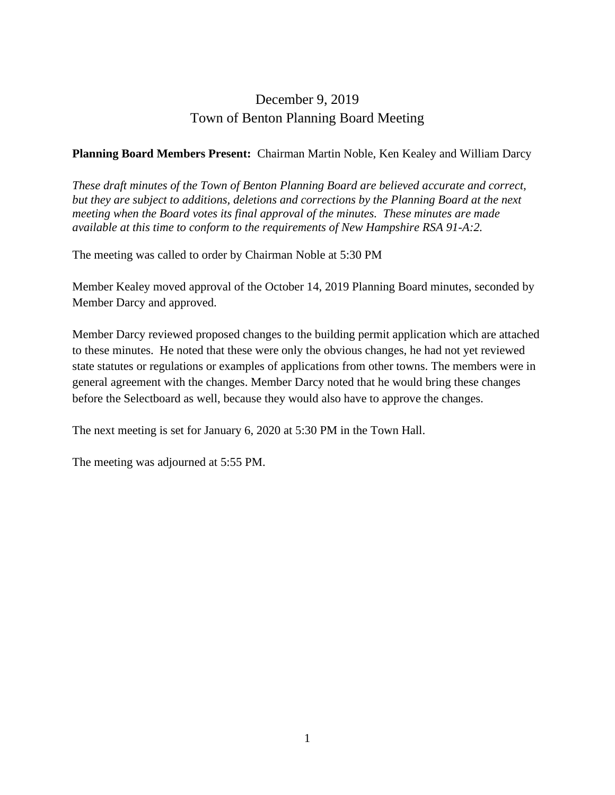## December 9, 2019 Town of Benton Planning Board Meeting

#### **Planning Board Members Present:** Chairman Martin Noble, Ken Kealey and William Darcy

*These draft minutes of the Town of Benton Planning Board are believed accurate and correct, but they are subject to additions, deletions and corrections by the Planning Board at the next meeting when the Board votes its final approval of the minutes. These minutes are made available at this time to conform to the requirements of New Hampshire RSA 91-A:2.*

The meeting was called to order by Chairman Noble at 5:30 PM

Member Kealey moved approval of the October 14, 2019 Planning Board minutes, seconded by Member Darcy and approved.

Member Darcy reviewed proposed changes to the building permit application which are attached to these minutes. He noted that these were only the obvious changes, he had not yet reviewed state statutes or regulations or examples of applications from other towns. The members were in general agreement with the changes. Member Darcy noted that he would bring these changes before the Selectboard as well, because they would also have to approve the changes.

The next meeting is set for January 6, 2020 at 5:30 PM in the Town Hall.

The meeting was adjourned at 5:55 PM.